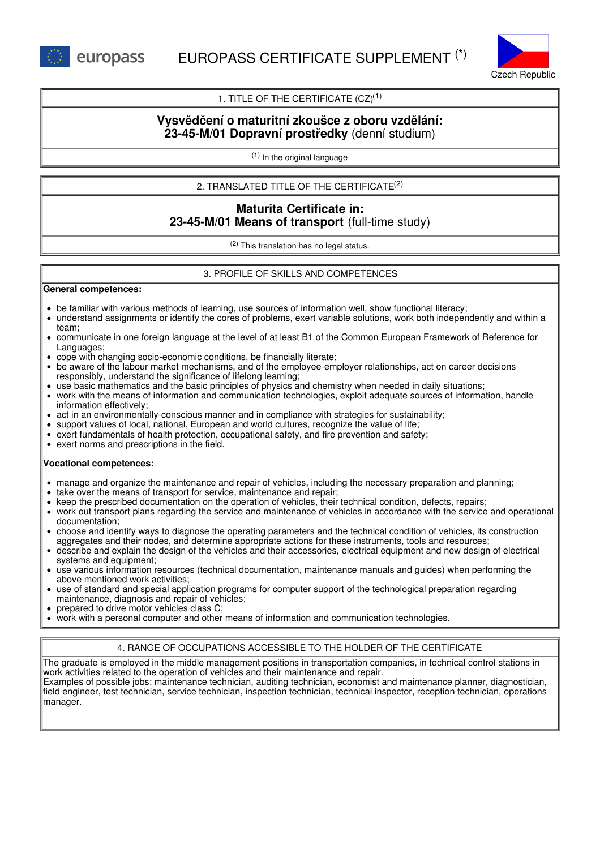

## 1. TITLE OF THE CERTIFICATE  $(CZ)^{(1)}$

# **Vysvědčení o maturitní zkoušce z oboru vzdělání: 23-45-M/01 Dopravní prostředky** (denní studium)

(1) In the original language

2. TRANSLATED TITLE OF THE CERTIFICATE (2)

# **Maturita Certificate in: 23-45-M/01 Means of transport** (full-time study)

(2) This translation has no legal status.

## 3. PROFILE OF SKILLS AND COMPETENCES

#### **General competences:**

- be familiar with various methods of learning, use sources of information well, show functional literacy;
- understand assignments or identify the cores of problems, exert variable solutions, work both independently and within a team;
- communicate in one foreign language at the level of at least B1 of the Common European Framework of Reference for Languages;
- cope with changing socio-economic conditions, be financially literate;
- be aware of the labour market mechanisms, and of the employee-employer relationships, act on career decisions responsibly, understand the significance of lifelong learning;
- use basic mathematics and the basic principles of physics and chemistry when needed in daily situations;
- work with the means of information and communication technologies, exploit adequate sources of information, handle information effectively;
- act in an environmentally-conscious manner and in compliance with strategies for sustainability;
- support values of local, national, European and world cultures, recognize the value of life;
- $\bullet$  exert fundamentals of health protection, occupational safety, and fire prevention and safety;
- exert norms and prescriptions in the field.

#### **Vocational competences:**

- manage and organize the maintenance and repair of vehicles, including the necessary preparation and planning;
- take over the means of transport for service, maintenance and repair;
- keep the prescribed documentation on the operation of vehicles, their technical condition, defects, repairs;
- work out transport plans regarding the service and maintenance of vehicles in accordance with the service and operational documentation;
- choose and identify ways to diagnose the operating parameters and the technical condition of vehicles, its construction aggregates and their nodes, and determine appropriate actions for these instruments, tools and resources;
- describe and explain the design of the vehicles and their accessories, electrical equipment and new design of electrical systems and equipment;
- use various information resources (technical documentation, maintenance manuals and guides) when performing the above mentioned work activities;
- use of standard and special application programs for computer support of the technological preparation regarding maintenance, diagnosis and repair of vehicles;
- prepared to drive motor vehicles class C;
- work with a personal computer and other means of information and communication technologies.

## 4. RANGE OF OCCUPATIONS ACCESSIBLE TO THE HOLDER OF THE CERTIFICATE

The graduate is employed in the middle management positions in transportation companies, in technical control stations in work activities related to the operation of vehicles and their maintenance and repair. Examples of possible jobs: maintenance technician, auditing technician, economist and maintenance planner, diagnostician, field engineer, test technician, service technician, inspection technician, technical inspector, reception technician, operations manager.